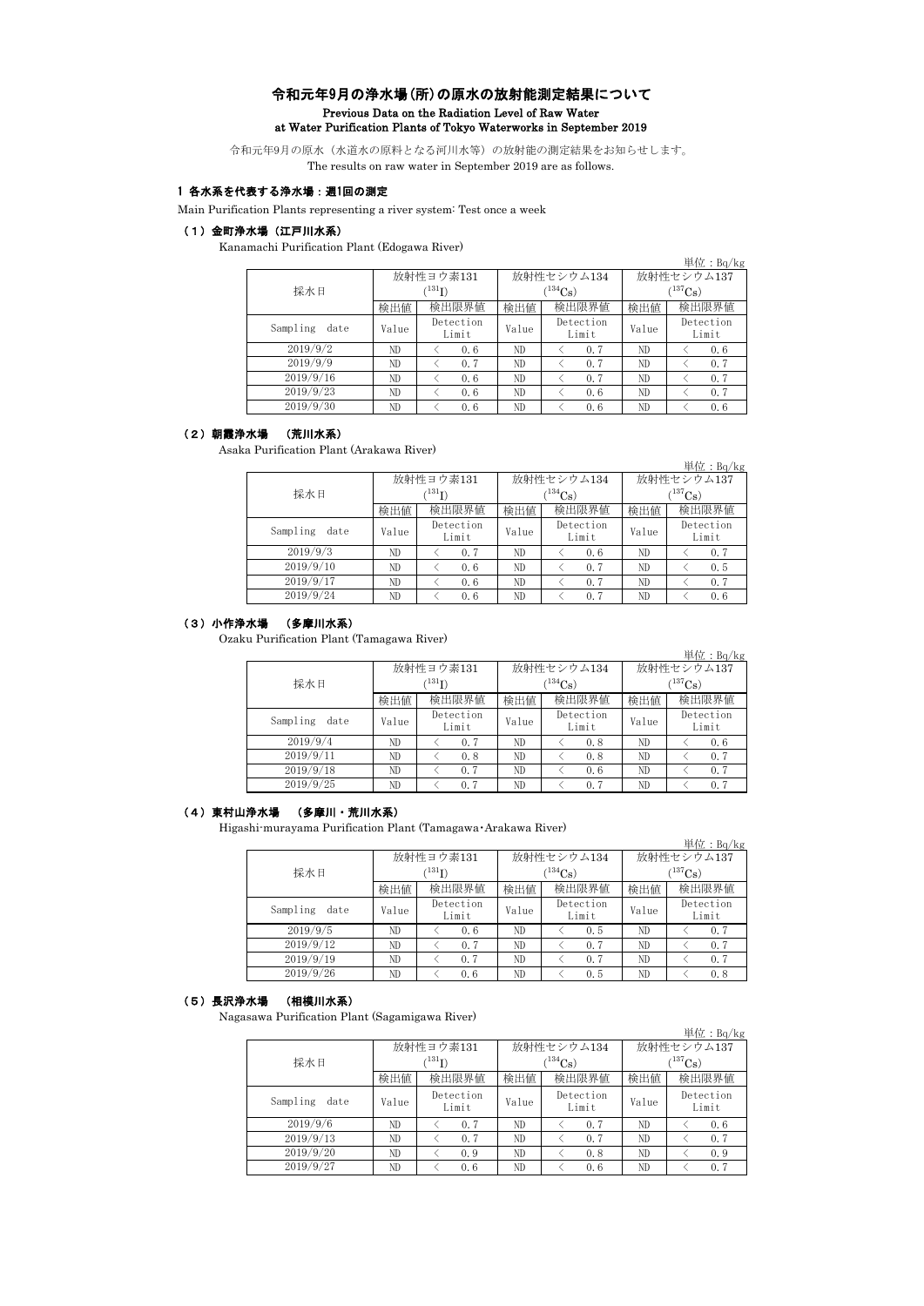## 令和元年9月の浄水場(所)の原水の放射能測定結果について Previous Data on the Radiation Level of Raw Water at Water Purification Plants of Tokyo Waterworks in September 2019

令和元年9月の原水(水道水の原料となる河川水等)の放射能の測定結果をお知らせします。 The results on raw water in September 2019 are as follows.

#### 1 各水系を代表する浄水場:週1回の測定

Main Purification Plants representing a river system: Test once a week

#### (1)金町浄水場(江戸川水系)

Kanamachi Purification Plant (Edogawa River)

|                  |       |                    |       |                    |              | 単位: $Bq/kg$        |  |  |
|------------------|-------|--------------------|-------|--------------------|--------------|--------------------|--|--|
|                  |       | 放射性ヨウ素131          |       | 放射性セシウム134         | 放射性セシウム137   |                    |  |  |
| 採水日              |       | (131)              |       | $(^{134}Cs)$       | $(^{137}Cs)$ |                    |  |  |
|                  | 検出値   | 検出限界値              | 検出値   | 検出限界値              | 検出値          | 検出限界値              |  |  |
| Sampling<br>date | Value | Detection<br>Limit | Value | Detection<br>Limit | Value        | Detection<br>Limit |  |  |
| 2019/9/2         | ND    | 0.6                | ND    | 0.7                | ND           | 0.6                |  |  |
| 2019/9/9         | ND    | 0.7                | ND    | 0.7                | ND           | 0.7                |  |  |
| 2019/9/16        | ND    | 0.6                | ND    | 0.7                | ND           | 0.7                |  |  |
| 2019/9/23        | ND    | 0.6                | ND    | 0, 6               | ND           | 0.7                |  |  |
| 2019/9/30        | ND    | 0.6                | ND    | 0.6                | ND           | 0.6                |  |  |

## (2)朝霞浄水場 (荒川水系)

Asaka Purification Plant (Arakawa River)

|                  |             |                    |       |                       |             | 単位: $Bq/kg$        |  |
|------------------|-------------|--------------------|-------|-----------------------|-------------|--------------------|--|
|                  |             | 放射性ヨウ素131          |       | 放射性セシウム134            | 放射性セシウム137  |                    |  |
| 採水日              | $^{131}$ I) |                    |       | $^{(134}\mathrm{Cs})$ | $(137)$ Cs) |                    |  |
|                  | 検出値         | 検出限界値              | 検出値   | 検出限界値                 | 検出値         | 検出限界値              |  |
| Sampling<br>date | Value       | Detection<br>Limit | Value | Detection<br>Limit    | Value       | Detection<br>Limit |  |
| 2019/9/3         | ND          | 0.7                | ND    | 0.6                   | ND          | 0, 7               |  |
| 2019/9/10        | ND          | 0.6                | ND    | 0.7                   | ND          | 0.5                |  |
| 2019/9/17        | ND          | 0.6                | ND    | 0.7                   | ND          | 0.7                |  |
| 2019/9/24        | ND          | 0.6                | ND    | 0.7                   | ND          | 0.6                |  |

## (3)小作浄水場 (多摩川水系)

Ozaku Purification Plant (Tamagawa River)

|                  |       |                    |       |                    |                  | 単位: $Bq/kg$        |  |
|------------------|-------|--------------------|-------|--------------------|------------------|--------------------|--|
|                  |       | 放射性ヨウ素131          |       | 放射性セシウム134         | 放射性セシウム137       |                    |  |
| 採水日              |       | $^{\prime131}$ I)  |       | $^{134}Cs$ )       | $(137)_{\rm Cs}$ |                    |  |
|                  | 検出値   | 検出限界値              | 検出値   | 検出限界値              | 検出値              | 検出限界値              |  |
| Sampling<br>date | Value | Detection<br>Limit | Value | Detection<br>Limit | Value            | Detection<br>Limit |  |
| 2019/9/4         | ND    | 0.7                | ND    | 0.8                | ND               | 0.6                |  |
| 2019/9/11        | ND    | 0.8                | ND    | 0.8                | ND               | 0.7                |  |
| 2019/9/18        | ND    | 0.7                | ND    | 0.6                | ND               | 0.7                |  |
| 2019/9/25        | ND    | 0.7                | ND    | 0.7                | ND               | 0.7                |  |

#### (4)東村山浄水場 (多摩川・荒川水系)

Higashi-murayama Purification Plant (Tamagawa・Arakawa River)

|                  |                 |                    |       |                    |             | 単位: $Bq/kg$        |  |
|------------------|-----------------|--------------------|-------|--------------------|-------------|--------------------|--|
|                  |                 | 放射性ヨウ素131          |       | 放射性セシウム134         | 放射性セシウム137  |                    |  |
| 採水日              | $\rm ^{(131}I)$ |                    |       | $(134)$ Cs         | $(137)$ Cs) |                    |  |
|                  | 検出値             | 検出限界値              | 検出値   | 検出限界値              | 検出値         | 検出限界値              |  |
| Sampling<br>date | Value           | Detection<br>Limit | Value | Detection<br>Limit | Value       | Detection<br>Limit |  |
| 2019/9/5         | ND              | 0.6                | ND    | 0.5                | ND          | 0.7                |  |
| 2019/9/12        | ND              | 0.7                | ND    | 0.7                | ND          | 0.7                |  |
| 2019/9/19        | ND              | 0.7                | ND    | 0.7                | ND          | 0.7                |  |
| 2019/9/26        | ND              | 0.6                | ND    | 0.5                | ND          | 0.8                |  |

## (5)長沢浄水場 (相模川水系)

Nagasawa Purification Plant (Sagamigawa River)

|                  |       |                    |       |                    |              | 単位: $Bq/kg$        |  |  |
|------------------|-------|--------------------|-------|--------------------|--------------|--------------------|--|--|
|                  |       | 放射性ヨウ素131          |       | 放射性セシウム134         | 放射性セシウム137   |                    |  |  |
| 採水日              |       | $^{\prime 131}$ T) |       | $(134)$ Cs         | $(^{137}Cs)$ |                    |  |  |
|                  | 検出値   | 検出限界値              | 検出値   | 検出限界値              | 検出値          | 検出限界値              |  |  |
| Sampling<br>date | Value | Detection<br>Limit | Value | Detection<br>Limit | Value        | Detection<br>Limit |  |  |
| 2019/9/6         | ND    | 0.7                | ND    | 0.7                | ND           | 0.6                |  |  |
| 2019/9/13        | ND    | 0.7                | ND    | 0.7                | ND           | 0.7                |  |  |
| 2019/9/20        | ND    | 0.9                | ND    | 0.8                | ND           | 0.9                |  |  |
| 2019/9/27        | ND    | 0.6                | ND    | 0.6                | ND           | 0.7                |  |  |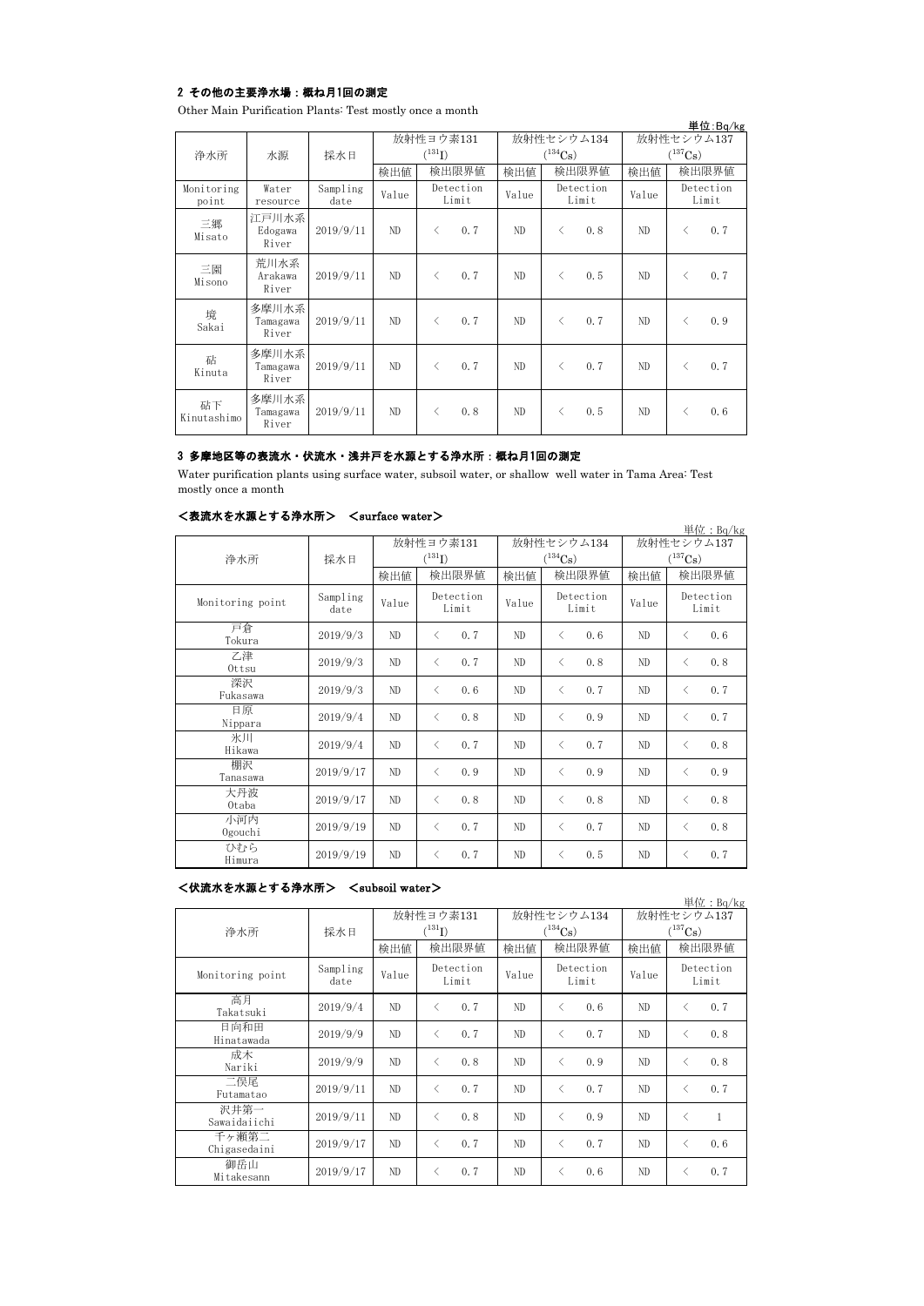## 2 その他の主要浄水場:概ね月1回の測定

Other Main Purification Plants: Test mostly once a month

|                     |                            |                  |                          |                                                 |       |                                     |                                          |                    |                            |           | 単位:Bq/kg           |
|---------------------|----------------------------|------------------|--------------------------|-------------------------------------------------|-------|-------------------------------------|------------------------------------------|--------------------|----------------------------|-----------|--------------------|
| 浄水所                 | 水源                         | 採水日              | 放射性ヨウ素131<br>$(^{131}I)$ |                                                 |       | 放射性セシウム134<br>$(^{134}\mathrm{Cs})$ |                                          |                    | 放射性セシウム137<br>$(^{137}Cs)$ |           |                    |
|                     |                            |                  | 検出値                      | 検出限界値                                           | 検出値   |                                     |                                          | 検出限界値              | 検出値                        |           | 検出限界値              |
| Monitoring<br>point | Water<br>resource          | Sampling<br>date | Value                    | Detection<br>Limit                              | Value |                                     |                                          | Detection<br>Limit | Value                      |           | Detection<br>Limit |
| 三郷<br>Misato        | 江戸川水系<br>Edogawa<br>River  | 2019/9/11        | ND                       | 0.7<br>$\langle$                                | ND    |                                     | $\langle$                                | 0.8                | ND                         | ⟨         | 0.7                |
| 三園<br>Misono        | 荒川水系<br>Arakawa<br>River   | 2019/9/11        | ND                       | 0.7<br>$\langle$                                | ND    |                                     | $\langle$                                | 0.5                | ND                         | ⟨         | 0.7                |
| 境<br>Sakai          | 多摩川水系<br>Tamagawa<br>River | 2019/9/11        | ND                       | 0.7<br>$\langle$                                | ND    |                                     | $\overline{\left\langle \right\rangle }$ | 0.7                | ND                         | く         | 0.9                |
| 砧<br>Kinuta         | 多摩川水系<br>Tamagawa<br>River | 2019/9/11        | ND.                      | 0.7<br>$\overline{\left\langle \right\rangle }$ | ND.   |                                     | $\langle$                                | 0.7                | ND.                        | $\langle$ | 0.7                |
| 砧下<br>Kinutashimo   | 多摩川水系<br>Tamagawa<br>River | 2019/9/11        | ND.                      | 0.8<br>✓                                        | ND.   |                                     | ✓                                        | 0.5                | ND                         | く         | 0.6                |

# 3 多摩地区等の表流水・伏流水・浅井戸を水源とする浄水所:概ね月1回の測定

Water purification plants using surface water, subsoil water, or shallow well water in Tama Area: Test mostly once a month

| <表流水を水源とする浄水所> <surface water=""></surface> |  |
|---------------------------------------------|--|
|                                             |  |

| ヽ•べ 灬 灬 灬 " 灬 灬 ㄴ ㄱ ~ ㅇ /ㅜ ノ / ㄲ / |                  | $\sim$ ourrace water $\sim$ |                                     |                    |                                     |                                          |                    |                                     |                                          | 単位: $Bq/kg$        |
|------------------------------------|------------------|-----------------------------|-------------------------------------|--------------------|-------------------------------------|------------------------------------------|--------------------|-------------------------------------|------------------------------------------|--------------------|
| 浄水所                                | 採水日              |                             | 放射性ヨウ素131<br>$({}^{131}\mathrm{I})$ |                    | 放射性セシウム134<br>$(^{134}\mathrm{Cs})$ |                                          |                    | 放射性セシウム137<br>$(^{137}\mathrm{Cs})$ |                                          |                    |
|                                    |                  | 検出値                         |                                     | 検出限界値              | 検出値                                 |                                          | 検出限界値              | 検出値                                 |                                          | 検出限界値              |
| Monitoring point                   | Sampling<br>date | Value                       |                                     | Detection<br>Limit | Value                               |                                          | Detection<br>Limit | Value                               |                                          | Detection<br>Limit |
| 戸倉<br>Tokura                       | 2019/9/3         | ND                          | $\langle$                           | 0.7                | ND                                  | $\langle$                                | 0.6                | ND                                  | $\langle$                                | 0, 6               |
| 乙津<br>Ottsu                        | 2019/9/3         | ND                          | $\langle$                           | 0.7                | ND                                  | $\overline{\left\langle \right\rangle }$ | 0.8                | ND                                  | ぐ                                        | 0.8                |
| 深沢<br>Fukasawa                     | 2019/9/3         | ND                          | $\langle$                           | 0.6                | ND                                  | $\langle$                                | 0.7                | ND                                  | $\langle$                                | 0.7                |
| 日原<br>Nippara                      | 2019/9/4         | ND.                         | $\langle$                           | 0.8                | ND                                  | $\lt$                                    | 0.9                | ND.                                 | $\langle$                                | 0, 7               |
| 氷川<br>Hikawa                       | 2019/9/4         | ND.                         | $\langle$                           | 0.7                | ND.                                 | $\langle$                                | 0.7                | ND                                  | $\overline{\left\langle \right\rangle }$ | 0.8                |
| 棚沢<br>Tanasawa                     | 2019/9/17        | ND                          | $\langle$                           | 0.9                | ND                                  | $\langle$                                | 0.9                | ND                                  | $\overline{\left\langle \right\rangle }$ | 0.9                |
| 大丹波<br>0taba                       | 2019/9/17        | ND                          | $\langle$                           | 0, 8               | ND                                  | $\langle$                                | 0.8                | ND                                  | $\overline{\left\langle \right\rangle }$ | 0.8                |
| 小河内<br>Ogouchi                     | 2019/9/19        | ND                          | $\langle$                           | 0.7                | ND                                  | $\langle$                                | 0.7                | ND                                  | ⟨                                        | 0.8                |
| ひむら<br>Himura                      | 2019/9/19        | $\rm ND$                    | $\langle$                           | 0.7                | ND                                  | $\lt$                                    | 0.5                | ND                                  | く                                        | 0.7                |

## <伏流水を水源とする浄水所> <subsoil water>

| ヽレヽミルいい ヒュ ハハゕヽ ヒ ぅ ・シ ノ オ マ ハ ゙ハ ハ ノ |                  | NDUNDULL WAULLE |                                                 |       |                       |            | 単位: $Bq/kg$        |  |
|---------------------------------------|------------------|-----------------|-------------------------------------------------|-------|-----------------------|------------|--------------------|--|
|                                       |                  |                 | 放射性ヨウ素131<br>$(^{131}I)$                        |       | 放射性セシウム134            | 放射性セシウム137 |                    |  |
| 浄水所                                   | 採水日              |                 |                                                 |       | $(^{134}\mathrm{Cs})$ |            | $(^{137}Cs)$       |  |
|                                       |                  | 検出値             | 検出限界値                                           | 検出値   | 検出限界値                 | 検出値        | 検出限界値              |  |
| Monitoring point                      | Sampling<br>date | Value           | Detection<br>Limit                              | Value | Detection<br>Limit    | Value      | Detection<br>Limit |  |
| 高月<br>Takatsuki                       | 2019/9/4         | ND              | 0.7<br>$\langle$                                | ND    | 0.6<br>ぐ              | ND         | 0, 7<br>ぐ          |  |
| 日向和田<br>Hinatawada                    | 2019/9/9         | ND              | 0.7<br>$\langle$                                | ND    | 0.7<br>⟨              | ND         | 0.8<br>⟨           |  |
| 成木<br>Nariki                          | 2019/9/9         | ND              | 0.8<br>$\overline{\left\langle \right\rangle }$ | ND    | 0.9<br>ぐ              | ND         | 0, 8<br>$\langle$  |  |
| 二俣尾<br>Futamatao                      | 2019/9/11        | ND              | 0.7<br>$\langle$                                | ND    | 0.7<br>✓              | ND         | 0, 7<br>⟨          |  |
| 沢井第一<br>Sawaidaiichi                  | 2019/9/11        | ND              | 0.8<br>$\overline{\left\langle \right\rangle }$ | ND    | 0.9<br>✓              | ND         | 1<br>✓             |  |
| 千ヶ瀬第二<br>Chigasedaini                 | 2019/9/17        | ND              | 0.7<br>$\langle$                                | ND    | 0.7<br>✓              | ND         | 0.6<br>$\langle$   |  |
| 御岳山<br>Mitakesann                     | 2019/9/17        | ND              | 0.7<br>$\langle$                                | ND    | 0.6<br>⟨              | ND         | 0, 7               |  |